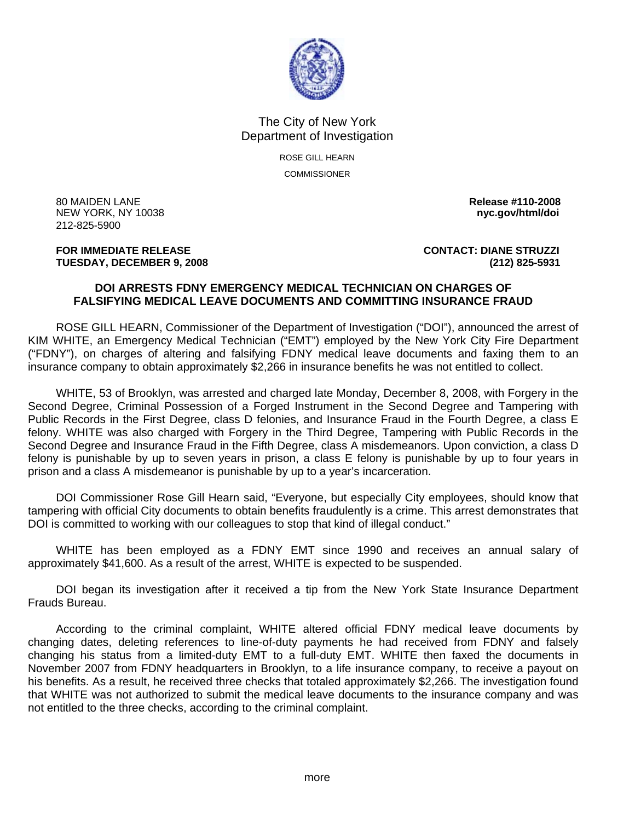

## The City of New York Department of Investigation

ROSE GILL HEARN **COMMISSIONER** 

80 MAIDEN LANE **Release #110-2008 NEW YORK, NY 10038** 212-825-5900

**TUESDAY, DECEMBER 9, 2008 (212) 825-5931**

**FOR IMMEDIATE RELEASE CONTACT: DIANE STRUZZI** 

## **DOI ARRESTS FDNY EMERGENCY MEDICAL TECHNICIAN ON CHARGES OF FALSIFYING MEDICAL LEAVE DOCUMENTS AND COMMITTING INSURANCE FRAUD**

 ROSE GILL HEARN, Commissioner of the Department of Investigation ("DOI"), announced the arrest of KIM WHITE, an Emergency Medical Technician ("EMT") employed by the New York City Fire Department ("FDNY"), on charges of altering and falsifying FDNY medical leave documents and faxing them to an insurance company to obtain approximately \$2,266 in insurance benefits he was not entitled to collect.

 WHITE, 53 of Brooklyn, was arrested and charged late Monday, December 8, 2008, with Forgery in the Second Degree, Criminal Possession of a Forged Instrument in the Second Degree and Tampering with Public Records in the First Degree, class D felonies, and Insurance Fraud in the Fourth Degree, a class E felony. WHITE was also charged with Forgery in the Third Degree, Tampering with Public Records in the Second Degree and Insurance Fraud in the Fifth Degree, class A misdemeanors. Upon conviction, a class D felony is punishable by up to seven years in prison, a class E felony is punishable by up to four years in prison and a class A misdemeanor is punishable by up to a year's incarceration.

 DOI Commissioner Rose Gill Hearn said, "Everyone, but especially City employees, should know that tampering with official City documents to obtain benefits fraudulently is a crime. This arrest demonstrates that DOI is committed to working with our colleagues to stop that kind of illegal conduct."

 WHITE has been employed as a FDNY EMT since 1990 and receives an annual salary of approximately \$41,600. As a result of the arrest, WHITE is expected to be suspended.

 DOI began its investigation after it received a tip from the New York State Insurance Department Frauds Bureau.

 According to the criminal complaint, WHITE altered official FDNY medical leave documents by changing dates, deleting references to line-of-duty payments he had received from FDNY and falsely changing his status from a limited-duty EMT to a full-duty EMT. WHITE then faxed the documents in November 2007 from FDNY headquarters in Brooklyn, to a life insurance company, to receive a payout on his benefits. As a result, he received three checks that totaled approximately \$2,266. The investigation found that WHITE was not authorized to submit the medical leave documents to the insurance company and was not entitled to the three checks, according to the criminal complaint.